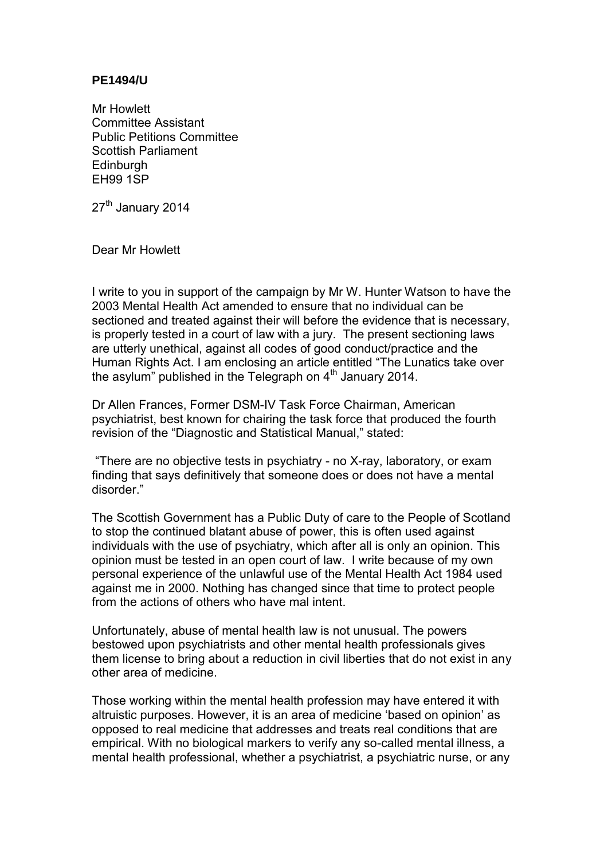## **PE1494/U**

Mr Howlett Committee Assistant Public Petitions Committee Scottish Parliament **Edinburgh** EH99 1SP

27<sup>th</sup> January 2014

Dear Mr Howlett

I write to you in support of the campaign by Mr W. Hunter Watson to have the 2003 Mental Health Act amended to ensure that no individual can be sectioned and treated against their will before the evidence that is necessary, is properly tested in a court of law with a jury. The present sectioning laws are utterly unethical, against all codes of good conduct/practice and the Human Rights Act. I am enclosing an article entitled "The Lunatics take over the asylum" published in the Telegraph on  $4<sup>th</sup>$  January 2014.

Dr Allen Frances, Former DSM-IV Task Force Chairman, American psychiatrist, best known for chairing the task force that produced the fourth revision of the "Diagnostic and Statistical Manual," stated:

 "There are no objective tests in psychiatry - no X-ray, laboratory, or exam finding that says definitively that someone does or does not have a mental disorder."

The Scottish Government has a Public Duty of care to the People of Scotland to stop the continued blatant abuse of power, this is often used against individuals with the use of psychiatry, which after all is only an opinion. This opinion must be tested in an open court of law. I write because of my own personal experience of the unlawful use of the Mental Health Act 1984 used against me in 2000. Nothing has changed since that time to protect people from the actions of others who have mal intent.

Unfortunately, abuse of mental health law is not unusual. The powers bestowed upon psychiatrists and other mental health professionals gives them license to bring about a reduction in civil liberties that do not exist in any other area of medicine.

Those working within the mental health profession may have entered it with altruistic purposes. However, it is an area of medicine 'based on opinion' as opposed to real medicine that addresses and treats real conditions that are empirical. With no biological markers to verify any so-called mental illness, a mental health professional, whether a psychiatrist, a psychiatric nurse, or any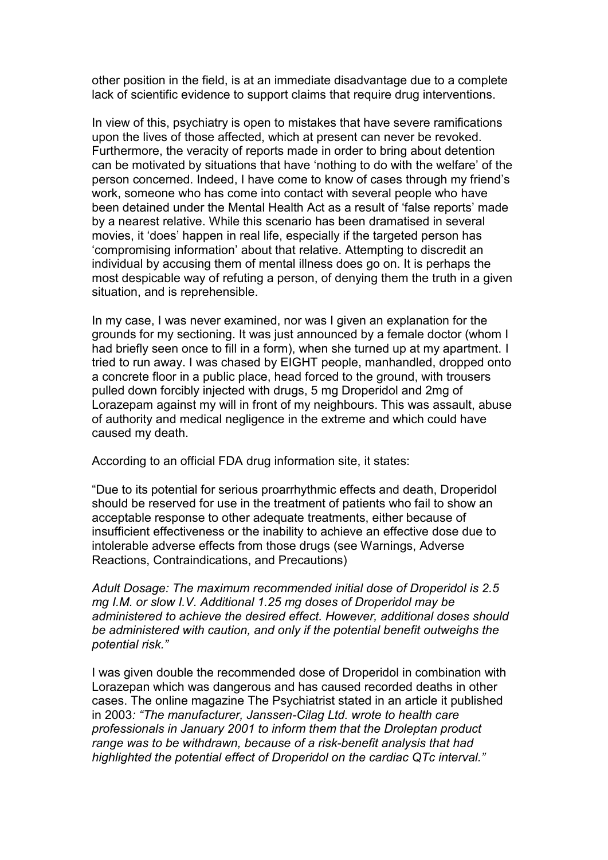other position in the field, is at an immediate disadvantage due to a complete lack of scientific evidence to support claims that require drug interventions.

In view of this, psychiatry is open to mistakes that have severe ramifications upon the lives of those affected, which at present can never be revoked. Furthermore, the veracity of reports made in order to bring about detention can be motivated by situations that have 'nothing to do with the welfare' of the person concerned. Indeed, I have come to know of cases through my friend's work, someone who has come into contact with several people who have been detained under the Mental Health Act as a result of 'false reports' made by a nearest relative. While this scenario has been dramatised in several movies, it 'does' happen in real life, especially if the targeted person has 'compromising information' about that relative. Attempting to discredit an individual by accusing them of mental illness does go on. It is perhaps the most despicable way of refuting a person, of denying them the truth in a given situation, and is reprehensible.

In my case, I was never examined, nor was I given an explanation for the grounds for my sectioning. It was just announced by a female doctor (whom I had briefly seen once to fill in a form), when she turned up at my apartment. I tried to run away. I was chased by EIGHT people, manhandled, dropped onto a concrete floor in a public place, head forced to the ground, with trousers pulled down forcibly injected with drugs, 5 mg Droperidol and 2mg of Lorazepam against my will in front of my neighbours. This was assault, abuse of authority and medical negligence in the extreme and which could have caused my death.

According to an official FDA drug information site, it states:

"Due to its potential for serious proarrhythmic effects and death, Droperidol should be reserved for use in the treatment of patients who fail to show an acceptable response to other adequate treatments, either because of insufficient effectiveness or the inability to achieve an effective dose due to intolerable adverse effects from those drugs (see Warnings, Adverse Reactions, Contraindications, and Precautions)

*Adult Dosage: The maximum recommended initial dose of Droperidol is 2.5 mg I.M. or slow I.V. Additional 1.25 mg doses of Droperidol may be administered to achieve the desired effect. However, additional doses should be administered with caution, and only if the potential benefit outweighs the potential risk."* 

I was given double the recommended dose of Droperidol in combination with Lorazepan which was dangerous and has caused recorded deaths in other cases. The online magazine The Psychiatrist stated in an article it published in 2003*: "The manufacturer, Janssen-Cilag Ltd. wrote to health care professionals in January 2001 to inform them that the Droleptan product range was to be withdrawn, because of a risk-benefit analysis that had highlighted the potential effect of Droperidol on the cardiac QTc interval."*